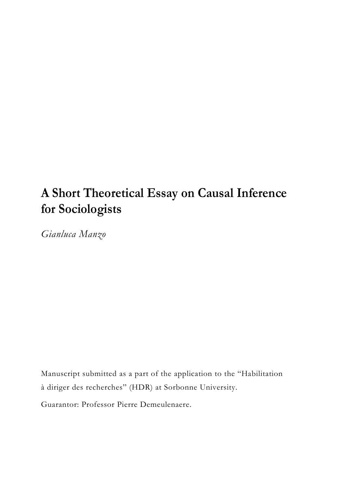# **A Short Theoretical Essay on Causal Inference for Sociologists**

*Gianluca Manzo*

Manuscript submitted as a part of the application to the "Habilitation à diriger des recherches" (HDR) at Sorbonne University.

Guarantor: Professor Pierre Demeulenaere.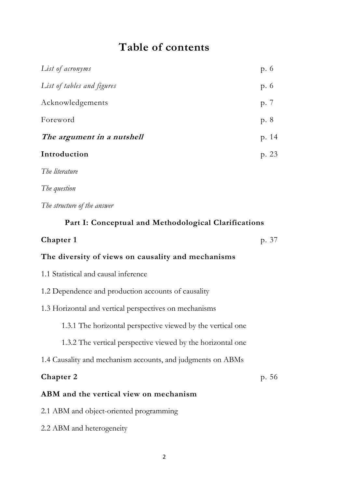## **Table of contents**

| List of acronyms           | p. 6  |
|----------------------------|-------|
| List of tables and figures | p. 6  |
| Acknowledgements           | p. 7  |
| Foreword                   | p. 8  |
| The argument in a nutshell | p. 14 |
| Introduction               | p. 23 |
| The literature             |       |

*The question*

*The structure of the answer*

### **Part I: Conceptual and Methodological Clarifications**

## **Chapter 1** p. 37

#### **The diversity of views on causality and mechanisms**

- 1.1 Statistical and causal inference
- 1.2 Dependence and production accounts of causality
- 1.3 Horizontal and vertical perspectives on mechanisms

1.3.1 The horizontal perspective viewed by the vertical one

1.3.2 The vertical perspective viewed by the horizontal one

1.4 Causality and mechanism accounts, and judgments on ABMs

## **Chapter 2** p. 56 **ABM and the vertical view on mechanism** 2.1 ABM and object-oriented programming

2.2 ABM and heterogeneity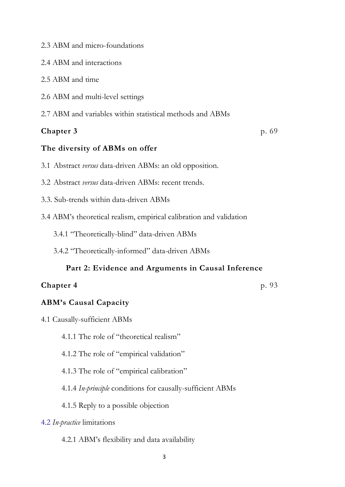- 2.3 ABM and micro-foundations
- 2.4 ABM and interactions
- 2.5 ABM and time
- 2.6 ABM and multi-level settings
- 2.7 ABM and variables within statistical methods and ABMs

### **Chapter 3** p. 69

#### **The diversity of ABMs on offer**

- 3.1 Abstract *versus* data-driven ABMs: an old opposition.
- 3.2 Abstract *versus* data-driven ABMs: recent trends.
- 3.3. Sub-trends within data-driven ABMs
- 3.4 ABM's theoretical realism, empirical calibration and validation
	- 3.4.1 "Theoretically-blind" data-driven ABMs
	- 3.4.2 "Theoretically-informed" data-driven ABMs

#### **Part 2: Evidence and Arguments in Causal Inference**

#### **Chapter 4** p. 93

#### **ABM's Causal Capacity**

- 4.1 Causally-sufficient ABMs
	- 4.1.1 The role of "theoretical realism"
	- 4.1.2 The role of "empirical validation"
	- 4.1.3 The role of "empirical calibration"
	- 4.1.4 *In-principle* conditions for causally-sufficient ABMs
	- 4.1.5 Reply to a possible objection

#### 4.2 *In-practice* limitations

4.2.1 ABM's flexibility and data availability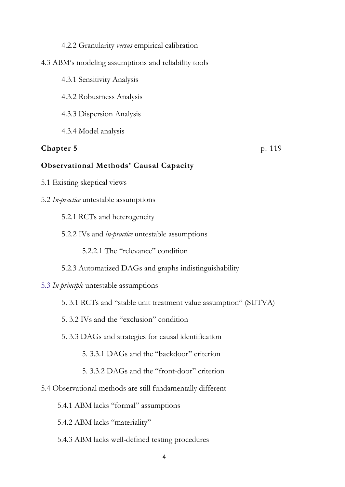#### 4.2.2 Granularity *versus* empirical calibration

#### 4.3 ABM's modeling assumptions and reliability tools

- 4.3.1 Sensitivity Analysis
- 4.3.2 Robustness Analysis
- 4.3.3 Dispersion Analysis
- 4.3.4 Model analysis

#### **Chapter 5** p. 119

#### **Observational Methods' Causal Capacity**

- 5.1 Existing skeptical views
- 5.2 *In-practice* untestable assumptions
	- 5.2.1 RCTs and heterogeneity
	- 5.2.2 IVs and *in-practice* untestable assumptions
		- 5.2.2.1 The "relevance" condition
	- 5.2.3 Automatized DAGs and graphs indistinguishability

#### 5.3 *In-principle* untestable assumptions

- 5. 3.1 RCTs and "stable unit treatment value assumption" (SUTVA)
- 5. 3.2 IVs and the "exclusion" condition
- 5. 3.3 DAGs and strategies for causal identification
	- 5. 3.3.1 DAGs and the "backdoor" criterion
	- 5. 3.3.2 DAGs and the "front-door" criterion
- 5.4 Observational methods are still fundamentally different
	- 5.4.1 ABM lacks "formal" assumptions
	- 5.4.2 ABM lacks "materiality"
	- 5.4.3 ABM lacks well-defined testing procedures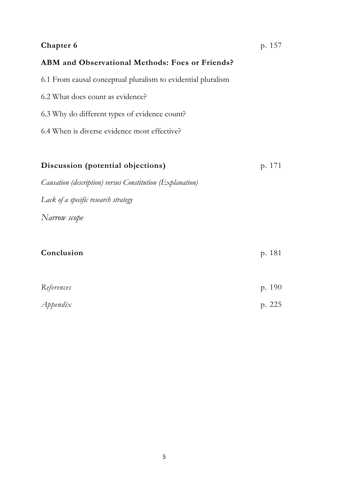### **Chapter 6 p. 157**

### **ABM and Observational Methods: Foes or Friends?**

6.1 From causal conceptual pluralism to evidential pluralism

- 6.2 What does count as evidence?
- 6.3 Why do different types of evidence count?
- 6.4 When is diverse evidence most effective?

| Discussion (potential objections)                         | p. 171 |
|-----------------------------------------------------------|--------|
| Causation (description) versus Constitution (Explanation) |        |
| Lack of a specific research strategy                      |        |
| Narrow scope                                              |        |
| Conclusion                                                | p. 181 |
| References                                                | p. 190 |
| $A$ ppendix                                               | p. 225 |
|                                                           |        |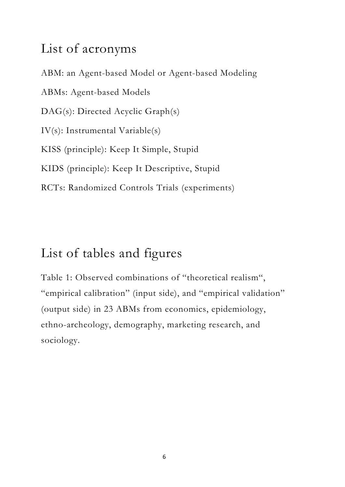## List of acronyms

ABM: an Agent-based Model or Agent-based Modeling ABMs: Agent-based Models DAG(s): Directed Acyclic Graph(s) IV(s): Instrumental Variable(s) KISS (principle): Keep It Simple, Stupid KIDS (principle): Keep It Descriptive, Stupid RCTs: Randomized Controls Trials (experiments)

# List of tables and figures

Table 1: Observed combinations of "theoretical realism", "empirical calibration" (input side), and "empirical validation" (output side) in 23 ABMs from economics, epidemiology, ethno-archeology, demography, marketing research, and sociology.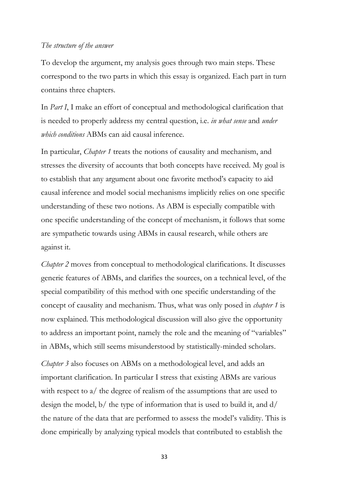#### *The structure of the answer*

To develop the argument, my analysis goes through two main steps. These correspond to the two parts in which this essay is organized. Each part in turn contains three chapters.

In *Part I*, I make an effort of conceptual and methodological clarification that is needed to properly address my central question, i.e. *in what sense* and *under which conditions* ABMs can aid causal inference.

In particular, *Chapter 1* treats the notions of causality and mechanism, and stresses the diversity of accounts that both concepts have received. My goal is to establish that any argument about one favorite method's capacity to aid causal inference and model social mechanisms implicitly relies on one specific understanding of these two notions. As ABM is especially compatible with one specific understanding of the concept of mechanism, it follows that some are sympathetic towards using ABMs in causal research, while others are against it.

*Chapter 2* moves from conceptual to methodological clarifications. It discusses generic features of ABMs, and clarifies the sources, on a technical level, of the special compatibility of this method with one specific understanding of the concept of causality and mechanism. Thus, what was only posed in *chapter 1* is now explained. This methodological discussion will also give the opportunity to address an important point, namely the role and the meaning of "variables" in ABMs, which still seems misunderstood by statistically-minded scholars.

*Chapter 3* also focuses on ABMs on a methodological level, and adds an important clarification. In particular I stress that existing ABMs are various with respect to a/ the degree of realism of the assumptions that are used to design the model, b/ the type of information that is used to build it, and d/ the nature of the data that are performed to assess the model's validity. This is done empirically by analyzing typical models that contributed to establish the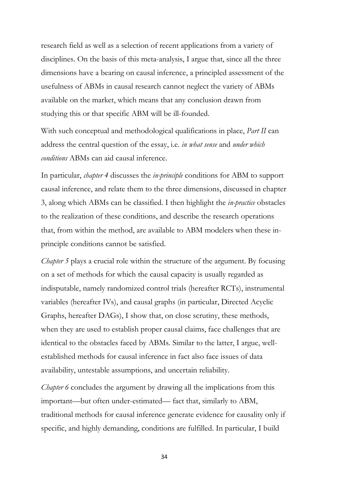research field as well as a selection of recent applications from a variety of disciplines. On the basis of this meta-analysis, I argue that, since all the three dimensions have a bearing on causal inference, a principled assessment of the usefulness of ABMs in causal research cannot neglect the variety of ABMs available on the market, which means that any conclusion drawn from studying this or that specific ABM will be ill-founded.

With such conceptual and methodological qualifications in place, *Part II* can address the central question of the essay, i.e. *in what sense* and *under which conditions* ABMs can aid causal inference.

In particular, *chapter 4* discusses the *in-principle* conditions for ABM to support causal inference, and relate them to the three dimensions, discussed in chapter 3, along which ABMs can be classified. I then highlight the *in-practice* obstacles to the realization of these conditions, and describe the research operations that, from within the method, are available to ABM modelers when these inprinciple conditions cannot be satisfied.

*Chapter 5* plays a crucial role within the structure of the argument. By focusing on a set of methods for which the causal capacity is usually regarded as indisputable, namely randomized control trials (hereafter RCTs), instrumental variables (hereafter IVs), and causal graphs (in particular, Directed Acyclic Graphs, hereafter DAGs), I show that, on close scrutiny, these methods, when they are used to establish proper causal claims, face challenges that are identical to the obstacles faced by ABMs. Similar to the latter, I argue, wellestablished methods for causal inference in fact also face issues of data availability, untestable assumptions, and uncertain reliability.

*Chapter 6* concludes the argument by drawing all the implications from this important—but often under-estimated— fact that, similarly to ABM, traditional methods for causal inference generate evidence for causality only if specific, and highly demanding, conditions are fulfilled. In particular, I build